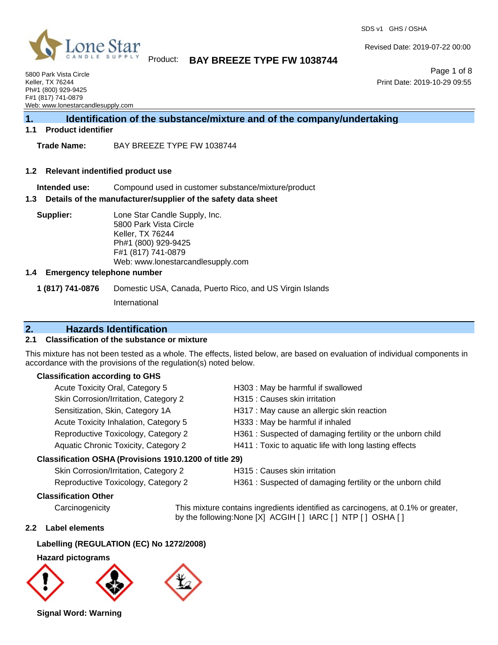

Revised Date: 2019-07-22 00:00

SDS v1 GHS / OSHA

Page 1 of 8 Print Date: 2019-10-29 09:55

5800 Park Vista Circle Keller, TX 76244 Ph#1 (800) 929-9425 F#1 (817) 741-0879 Web: www.lonestarcandlesupply.com

## **1. Identification of the substance/mixture and of the company/undertaking**

#### **1.1 Product identifier**

**Trade Name:** BAY BREEZE TYPE FW 1038744

#### **1.2 Relevant indentified product use**

**Intended use:** Compound used in customer substance/mixture/product

#### **1.3 Details of the manufacturer/supplier of the safety data sheet**

**Supplier:** Lone Star Candle Supply, Inc. 5800 Park Vista Circle Keller, TX 76244 Ph#1 (800) 929-9425 F#1 (817) 741-0879 Web: www.lonestarcandlesupply.com

#### **1.4 Emergency telephone number**

**1 (817) 741-0876** Domestic USA, Canada, Puerto Rico, and US Virgin Islands

International

### **2. Hazards Identification**

#### **2.1 Classification of the substance or mixture**

This mixture has not been tested as a whole. The effects, listed below, are based on evaluation of individual components in accordance with the provisions of the regulation(s) noted below.

#### **Classification according to GHS**

| Acute Toxicity Oral, Category 5                        | H303: May be harmful if swallowed                         |
|--------------------------------------------------------|-----------------------------------------------------------|
| Skin Corrosion/Irritation, Category 2                  | H315 : Causes skin irritation                             |
| Sensitization, Skin, Category 1A                       | H317 : May cause an allergic skin reaction                |
| Acute Toxicity Inhalation, Category 5                  | H333: May be harmful if inhaled                           |
| Reproductive Toxicology, Category 2                    | H361: Suspected of damaging fertility or the unborn child |
| Aquatic Chronic Toxicity, Category 2                   | H411 : Toxic to aquatic life with long lasting effects    |
| Classification OSHA (Provisions 1910.1200 of title 29) |                                                           |

### Skin Corrosion/Irritation, Category 2 H315 : Causes skin irritation

- 
- Reproductive Toxicology, Category 2 H361 : Suspected of damaging fertility or the unborn child

## **Classification Other**

Carcinogenicity This mixture contains ingredients identified as carcinogens, at 0.1% or greater, by the following:None [X] ACGIH [] IARC [] NTP [] OSHA []

#### **2.2 Label elements**

### **Labelling (REGULATION (EC) No 1272/2008)**

#### **Hazard pictograms**



**Signal Word: Warning**

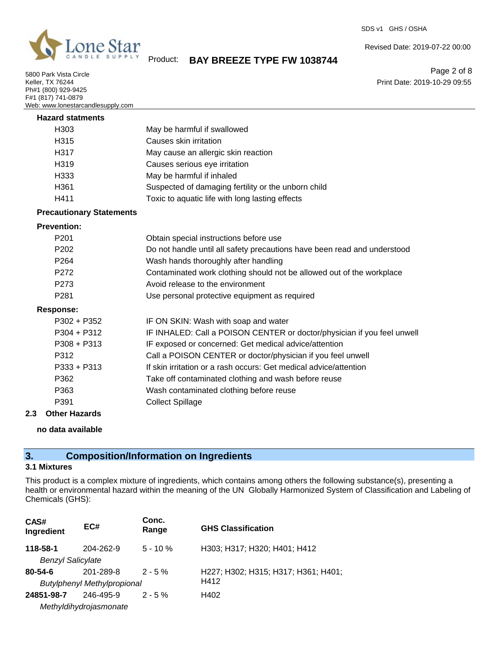

5800 Park Vista Circle Keller, TX 76244 Ph#1 (800) 929-9425 F#1 (817) 741-0879 Web: www.lonestarcandlesupply.com Revised Date: 2019-07-22 00:00

Product: **BAY BREEZE TYPE FW 1038744**

Page 2 of 8 Print Date: 2019-10-29 09:55

| <u>vved.</u> www.ionestarcandesupply.com |                                                                          |
|------------------------------------------|--------------------------------------------------------------------------|
| <b>Hazard statments</b>                  |                                                                          |
| H <sub>303</sub>                         | May be harmful if swallowed                                              |
| H315                                     | Causes skin irritation                                                   |
| H317                                     | May cause an allergic skin reaction                                      |
| H <sub>319</sub>                         | Causes serious eye irritation                                            |
| H333                                     | May be harmful if inhaled                                                |
| H361                                     | Suspected of damaging fertility or the unborn child                      |
| H411                                     | Toxic to aquatic life with long lasting effects                          |
| <b>Precautionary Statements</b>          |                                                                          |
| <b>Prevention:</b>                       |                                                                          |
| P <sub>201</sub>                         | Obtain special instructions before use                                   |
| P202                                     | Do not handle until all safety precautions have been read and understood |
| P <sub>264</sub>                         | Wash hands thoroughly after handling                                     |
| P272                                     | Contaminated work clothing should not be allowed out of the workplace    |
| P273                                     | Avoid release to the environment                                         |
| P281                                     | Use personal protective equipment as required                            |
| <b>Response:</b>                         |                                                                          |
| P302 + P352                              | IF ON SKIN: Wash with soap and water                                     |
| $P304 + P312$                            | IF INHALED: Call a POISON CENTER or doctor/physician if you feel unwell  |
| $P308 + P313$                            | IF exposed or concerned: Get medical advice/attention                    |
| P312                                     | Call a POISON CENTER or doctor/physician if you feel unwell              |
| $P333 + P313$                            | If skin irritation or a rash occurs: Get medical advice/attention        |
| P362                                     | Take off contaminated clothing and wash before reuse                     |
| P363                                     | Wash contaminated clothing before reuse                                  |
| P391                                     | <b>Collect Spillage</b>                                                  |
| <b>Other Hazards</b><br>2.3              |                                                                          |

#### **no data available**

## **3. Composition/Information on Ingredients**

### **3.1 Mixtures**

This product is a complex mixture of ingredients, which contains among others the following substance(s), presenting a health or environmental hazard within the meaning of the UN Globally Harmonized System of Classification and Labeling of Chemicals (GHS):

| CAS#<br>Ingredient       | EC#                                | Conc.<br>Range | <b>GHS Classification</b>           |
|--------------------------|------------------------------------|----------------|-------------------------------------|
| 118-58-1                 | 204-262-9                          | $5 - 10 \%$    | H303; H317; H320; H401; H412        |
| <b>Benzyl Salicylate</b> |                                    |                |                                     |
| $80 - 54 - 6$            | 201-289-8                          | $2 - 5%$       | H227; H302; H315; H317; H361; H401; |
|                          | <b>Butylphenyl Methylpropional</b> |                | H412                                |
| 24851-98-7               | 246-495-9                          | $2 - 5%$       | H402                                |
|                          | Methyldihydrojasmonate             |                |                                     |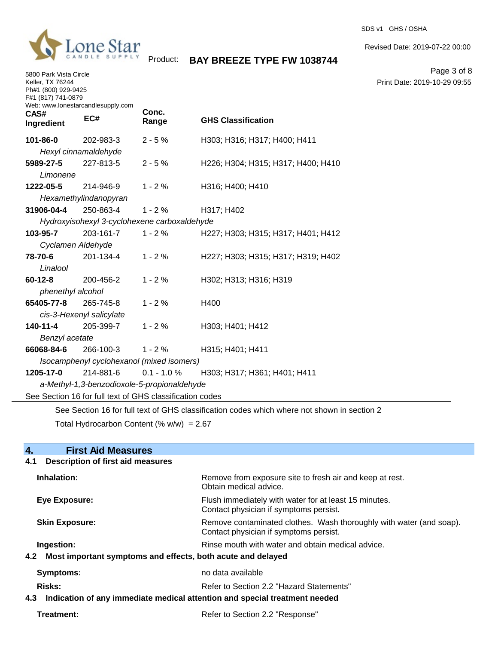

5800 Park Vista Circle Keller, TX 76244 Ph#1 (800) 929-9425 F#1 (817) 741-0879

SDS v1 GHS / OSHA

Revised Date: 2019-07-22 00:00

Product: **BAY BREEZE TYPE FW 1038744**

Page 3 of 8 Print Date: 2019-10-29 09:55

| $\overline{CAS#}$<br>Ingredient | Web: www.lonestarcandlesupply.com<br>EC# | Conc.<br>Range                                           | <b>GHS Classification</b>                                                                   |
|---------------------------------|------------------------------------------|----------------------------------------------------------|---------------------------------------------------------------------------------------------|
| 101-86-0                        | 202-983-3                                | $2 - 5%$                                                 | H303; H316; H317; H400; H411                                                                |
|                                 | Hexyl cinnamaldehyde                     |                                                          |                                                                                             |
| 5989-27-5                       | 227-813-5                                | $2 - 5%$                                                 | H226; H304; H315; H317; H400; H410                                                          |
| Limonene                        |                                          |                                                          |                                                                                             |
| 1222-05-5                       | 214-946-9                                | $1 - 2%$                                                 | H316; H400; H410                                                                            |
|                                 | Hexamethylindanopyran                    |                                                          |                                                                                             |
| 31906-04-4                      | 250-863-4                                | $1 - 2%$                                                 | H317; H402                                                                                  |
|                                 |                                          | Hydroxyisohexyl 3-cyclohexene carboxaldehyde             |                                                                                             |
| 103-95-7                        | 203-161-7                                | $1 - 2%$                                                 | H227; H303; H315; H317; H401; H412                                                          |
|                                 | Cyclamen Aldehyde                        |                                                          |                                                                                             |
| 78-70-6                         | 201-134-4                                | $1 - 2%$                                                 | H227; H303; H315; H317; H319; H402                                                          |
| Linalool                        |                                          |                                                          |                                                                                             |
| $60 - 12 - 8$                   | 200-456-2                                | $1 - 2%$                                                 | H302; H313; H316; H319                                                                      |
| phenethyl alcohol               |                                          |                                                          |                                                                                             |
| 65405-77-8                      | 265-745-8                                | $1 - 2%$                                                 | H400                                                                                        |
|                                 | cis-3-Hexenyl salicylate                 |                                                          |                                                                                             |
| 140-11-4                        | 205-399-7                                | $1 - 2%$                                                 | H303; H401; H412                                                                            |
| Benzyl acetate                  |                                          |                                                          |                                                                                             |
| 66068-84-6                      | 266-100-3                                | $1 - 2%$                                                 | H315; H401; H411                                                                            |
|                                 |                                          | Isocamphenyl cyclohexanol (mixed isomers)                |                                                                                             |
| 1205-17-0                       | 214-881-6                                | $0.1 - 1.0 %$                                            | H303; H317; H361; H401; H411                                                                |
|                                 |                                          | a-Methyl-1,3-benzodioxole-5-propionaldehyde              |                                                                                             |
|                                 |                                          | See Section 16 for full text of GHS classification codes |                                                                                             |
|                                 |                                          |                                                          | See Section 16 for full text of GHS classification codes which where not shown in section 2 |

Total Hydrocarbon Content  $(% \mathcal{O}_{N})$  = 2.67

| <b>First Aid Measures</b><br>4.                                                   |                                                                                                               |
|-----------------------------------------------------------------------------------|---------------------------------------------------------------------------------------------------------------|
| <b>Description of first aid measures</b><br>4.1                                   |                                                                                                               |
| Inhalation:                                                                       | Remove from exposure site to fresh air and keep at rest.<br>Obtain medical advice.                            |
| Eye Exposure:                                                                     | Flush immediately with water for at least 15 minutes.<br>Contact physician if symptoms persist.               |
| <b>Skin Exposure:</b>                                                             | Remove contaminated clothes. Wash thoroughly with water (and soap).<br>Contact physician if symptoms persist. |
| Ingestion:                                                                        | Rinse mouth with water and obtain medical advice.                                                             |
| Most important symptoms and effects, both acute and delayed<br>4.2                |                                                                                                               |
| Symptoms:                                                                         | no data available                                                                                             |
| <b>Risks:</b>                                                                     | Refer to Section 2.2 "Hazard Statements"                                                                      |
| Indication of any immediate medical attention and special treatment needed<br>4.3 |                                                                                                               |
| Treatment:                                                                        | Refer to Section 2.2 "Response"                                                                               |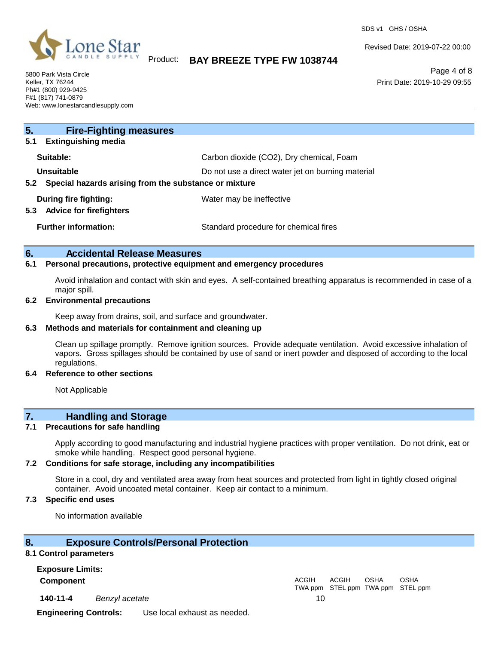

SDS v1 GHS / OSHA

Revised Date: 2019-07-22 00:00

5800 Park Vista Circle Keller, TX 76244 Ph#1 (800) 929-9425 F#1 (817) 741-0879 Web: www.lonestarcandlesupply.com

## Product: **BAY BREEZE TYPE FW 1038744**

Page 4 of 8 Print Date: 2019-10-29 09:55

| 5.<br><b>Fire-Fighting measures</b><br><b>Extinguishing media</b><br>5.1 |                                          |  |  |
|--------------------------------------------------------------------------|------------------------------------------|--|--|
|                                                                          |                                          |  |  |
| Suitable:                                                                | Carbon dioxide (CO2), Dry chemical, Foam |  |  |
| <b>Unsuitable</b><br>Do not use a direct water jet on burning material   |                                          |  |  |
| Special hazards arising from the substance or mixture<br>$5.2^{\circ}$   |                                          |  |  |
| During fire fighting:                                                    | Water may be ineffective                 |  |  |
| <b>Advice for firefighters</b><br>5.3                                    |                                          |  |  |
| <b>Further information:</b>                                              | Standard procedure for chemical fires    |  |  |

#### **6. Accidental Release Measures**

### **6.1 Personal precautions, protective equipment and emergency procedures**

Avoid inhalation and contact with skin and eyes. A self-contained breathing apparatus is recommended in case of a major spill.

#### **6.2 Environmental precautions**

Keep away from drains, soil, and surface and groundwater.

#### **6.3 Methods and materials for containment and cleaning up**

Clean up spillage promptly. Remove ignition sources. Provide adequate ventilation. Avoid excessive inhalation of vapors. Gross spillages should be contained by use of sand or inert powder and disposed of according to the local regulations.

#### **6.4 Reference to other sections**

Not Applicable

### **7. Handling and Storage**

#### **7.1 Precautions for safe handling**

Apply according to good manufacturing and industrial hygiene practices with proper ventilation. Do not drink, eat or smoke while handling. Respect good personal hygiene.

#### **7.2 Conditions for safe storage, including any incompatibilities**

Store in a cool, dry and ventilated area away from heat sources and protected from light in tightly closed original container. Avoid uncoated metal container. Keep air contact to a minimum.

#### **7.3 Specific end uses**

No information available

### **8. Exposure Controls/Personal Protection**

#### **8.1 Control parameters**

**Exposure Limits: Component** ACGIH

**140-11-4** *Benzyl acetate* 10

TWA ppm STEL ppm TWA ppm STEL ppm ACGIH OSHA OSHA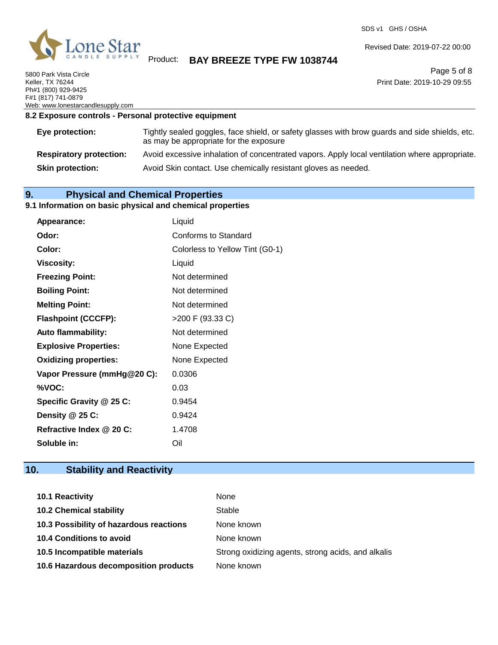

5800 Park Vista Circle Keller, TX 76244 Ph#1 (800) 929-9425 F#1 (817) 741-0879 Web: www.lonestarcandlesupply.com SDS v1 GHS / OSHA

Revised Date: 2019-07-22 00:00

Page 5 of 8 Print Date: 2019-10-29 09:55

#### **8.2 Exposure controls - Personal protective equipment**

| Eye protection:                | Tightly sealed goggles, face shield, or safety glasses with brow guards and side shields, etc.<br>as may be appropriate for the exposure |
|--------------------------------|------------------------------------------------------------------------------------------------------------------------------------------|
| <b>Respiratory protection:</b> | Avoid excessive inhalation of concentrated vapors. Apply local ventilation where appropriate.                                            |
| <b>Skin protection:</b>        | Avoid Skin contact. Use chemically resistant gloves as needed.                                                                           |

## **9. Physical and Chemical Properties**

#### **9.1 Information on basic physical and chemical properties**

| Appearance:                  | Liquid                          |
|------------------------------|---------------------------------|
| Odor:                        | Conforms to Standard            |
| Color:                       | Colorless to Yellow Tint (G0-1) |
| <b>Viscosity:</b>            | Liquid                          |
| <b>Freezing Point:</b>       | Not determined                  |
| <b>Boiling Point:</b>        | Not determined                  |
| <b>Melting Point:</b>        | Not determined                  |
| <b>Flashpoint (CCCFP):</b>   | >200 F (93.33 C)                |
| <b>Auto flammability:</b>    | Not determined                  |
| <b>Explosive Properties:</b> | None Expected                   |
| <b>Oxidizing properties:</b> | None Expected                   |
| Vapor Pressure (mmHg@20 C):  | 0.0306                          |
| %VOC:                        | 0.03                            |
| Specific Gravity @ 25 C:     | 0.9454                          |
| Density @ 25 C:              | 0.9424                          |
| Refractive Index @ 20 C:     | 1.4708                          |
| Soluble in:                  | Oil                             |

## **10. Stability and Reactivity**

| 10.1 Reactivity                         | None                                               |
|-----------------------------------------|----------------------------------------------------|
| <b>10.2 Chemical stability</b>          | Stable                                             |
| 10.3 Possibility of hazardous reactions | None known                                         |
| <b>10.4 Conditions to avoid</b>         | None known                                         |
| 10.5 Incompatible materials             | Strong oxidizing agents, strong acids, and alkalis |
| 10.6 Hazardous decomposition products   | None known                                         |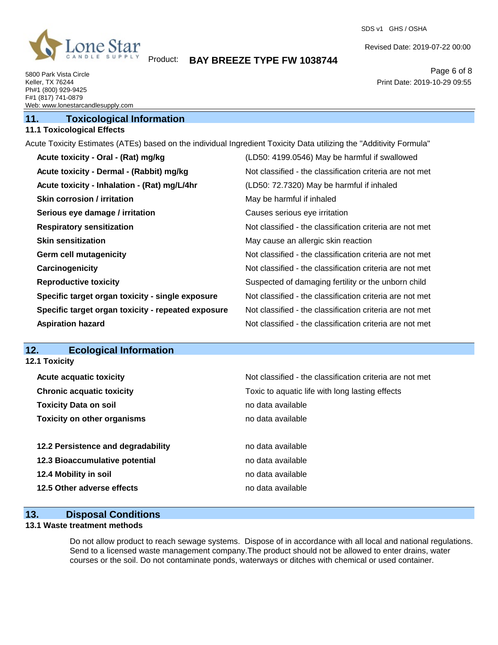

SDS v1 GHS / OSHA

Revised Date: 2019-07-22 00:00

Print Date: 2019-10-29 09:55

Page 6 of 8

5800 Park Vista Circle Keller, TX 76244 Ph#1 (800) 929-9425 F#1 (817) 741-0879 Web: www.lonestarcandlesupply.com

## **11. Toxicological Information**

## **11.1 Toxicological Effects**

Acute Toxicity Estimates (ATEs) based on the individual Ingredient Toxicity Data utilizing the "Additivity Formula"

| Acute toxicity - Oral - (Rat) mg/kg                | (LD50: 4199.0546) May be harmful if swallowed            |
|----------------------------------------------------|----------------------------------------------------------|
| Acute toxicity - Dermal - (Rabbit) mg/kg           | Not classified - the classification criteria are not met |
| Acute toxicity - Inhalation - (Rat) mg/L/4hr       | (LD50: 72.7320) May be harmful if inhaled                |
| <b>Skin corrosion / irritation</b>                 | May be harmful if inhaled                                |
| Serious eye damage / irritation                    | Causes serious eye irritation                            |
| <b>Respiratory sensitization</b>                   | Not classified - the classification criteria are not met |
| <b>Skin sensitization</b>                          | May cause an allergic skin reaction                      |
| <b>Germ cell mutagenicity</b>                      | Not classified - the classification criteria are not met |
| Carcinogenicity                                    | Not classified - the classification criteria are not met |
| <b>Reproductive toxicity</b>                       | Suspected of damaging fertility or the unborn child      |
| Specific target organ toxicity - single exposure   | Not classified - the classification criteria are not met |
| Specific target organ toxicity - repeated exposure | Not classified - the classification criteria are not met |
| <b>Aspiration hazard</b>                           | Not classified - the classification criteria are not met |

## **12. Ecological Information**

**12.1 Toxicity**

| <b>Acute acquatic toxicity</b>     | Not classified - the classification criteria are not met |
|------------------------------------|----------------------------------------------------------|
| <b>Chronic acquatic toxicity</b>   | Toxic to aquatic life with long lasting effects          |
| <b>Toxicity Data on soil</b>       | no data available                                        |
| <b>Toxicity on other organisms</b> | no data available                                        |
| 12.2 Persistence and degradability | no data available                                        |
| 12.3 Bioaccumulative potential     | no data available                                        |
| 12.4 Mobility in soil              | no data available                                        |
| 12.5 Other adverse effects         | no data available                                        |

#### **13. Disposal Conditions**

### **13.1 Waste treatment methods**

Do not allow product to reach sewage systems. Dispose of in accordance with all local and national regulations. Send to a licensed waste management company.The product should not be allowed to enter drains, water courses or the soil. Do not contaminate ponds, waterways or ditches with chemical or used container.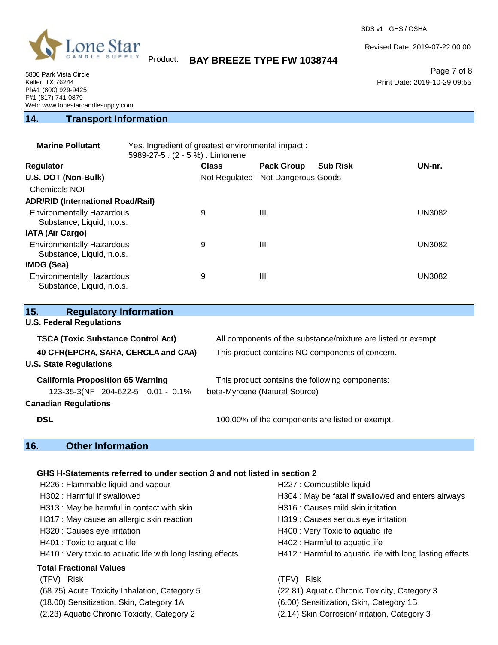

SDS v1 GHS / OSHA

Revised Date: 2019-07-22 00:00

Print Date: 2019-10-29 09:55

Page 7 of 8

Product: **BAY BREEZE TYPE FW 1038744**

5800 Park Vista Circle Keller, TX 76244 Ph#1 (800) 929-9425 F#1 (817) 741-0879 Web: www.lonestarcandlesupply.com

## **14. Transport Information**

| <b>Marine Pollutant</b>                                       | Yes. Ingredient of greatest environmental impact:<br>5989-27-5 : (2 - 5 %) : Limonene |              |                                     |                 |               |
|---------------------------------------------------------------|---------------------------------------------------------------------------------------|--------------|-------------------------------------|-----------------|---------------|
| <b>Regulator</b>                                              |                                                                                       | <b>Class</b> | <b>Pack Group</b>                   | <b>Sub Risk</b> | UN-nr.        |
| U.S. DOT (Non-Bulk)                                           |                                                                                       |              | Not Regulated - Not Dangerous Goods |                 |               |
| Chemicals NOI                                                 |                                                                                       |              |                                     |                 |               |
| <b>ADR/RID (International Road/Rail)</b>                      |                                                                                       |              |                                     |                 |               |
| <b>Environmentally Hazardous</b><br>Substance, Liquid, n.o.s. |                                                                                       | 9            | Ш                                   |                 | <b>UN3082</b> |
| <b>IATA (Air Cargo)</b>                                       |                                                                                       |              |                                     |                 |               |
| <b>Environmentally Hazardous</b><br>Substance, Liquid, n.o.s. |                                                                                       | 9            | Ш                                   |                 | <b>UN3082</b> |
| IMDG (Sea)                                                    |                                                                                       |              |                                     |                 |               |
| <b>Environmentally Hazardous</b><br>Substance, Liquid, n.o.s. |                                                                                       | 9            | Ш                                   |                 | <b>UN3082</b> |

| 15.<br><b>Regulatory Information</b>      |                                                              |
|-------------------------------------------|--------------------------------------------------------------|
| <b>U.S. Federal Regulations</b>           |                                                              |
| <b>TSCA (Toxic Substance Control Act)</b> | All components of the substance/mixture are listed or exempt |
| 40 CFR(EPCRA, SARA, CERCLA and CAA)       | This product contains NO components of concern.              |
| <b>U.S. State Regulations</b>             |                                                              |
| <b>California Proposition 65 Warning</b>  | This product contains the following components:              |
| 123-35-3(NF 204-622-5 0.01 - 0.1%         | beta-Myrcene (Natural Source)                                |
| <b>Canadian Regulations</b>               |                                                              |
| <b>DSL</b>                                | 100.00% of the components are listed or exempt.              |

# **16. Other Information**

#### **GHS H-Statements referred to under section 3 and not listed in section 2**

| H226 : Flammable liquid and vapour                          | H227 : Combustible liquid                                |
|-------------------------------------------------------------|----------------------------------------------------------|
| H302 : Harmful if swallowed                                 | H304 : May be fatal if swallowed and enters airways      |
| H313 : May be harmful in contact with skin                  | H316 : Causes mild skin irritation                       |
| H317 : May cause an allergic skin reaction                  | H319 : Causes serious eye irritation                     |
| H320 : Causes eye irritation                                | H400 : Very Toxic to aquatic life                        |
| H401 : Toxic to aquatic life                                | H402 : Harmful to aquatic life                           |
| H410 : Very toxic to aquatic life with long lasting effects | H412 : Harmful to aquatic life with long lasting effects |
| <b>Total Fractional Values</b>                              | <b>Risk</b>                                              |
| (TFV) Risk                                                  | (TFV)                                                    |
| (68.75) Acute Toxicity Inhalation, Category 5               | (22.81) Aquatic Chronic Toxicity, Category 3             |
| (18.00) Sensitization, Skin, Category 1A                    | (6.00) Sensitization, Skin, Category 1B                  |
| (2.23) Aquatic Chronic Toxicity, Category 2                 | (2.14) Skin Corrosion/Irritation, Category 3             |